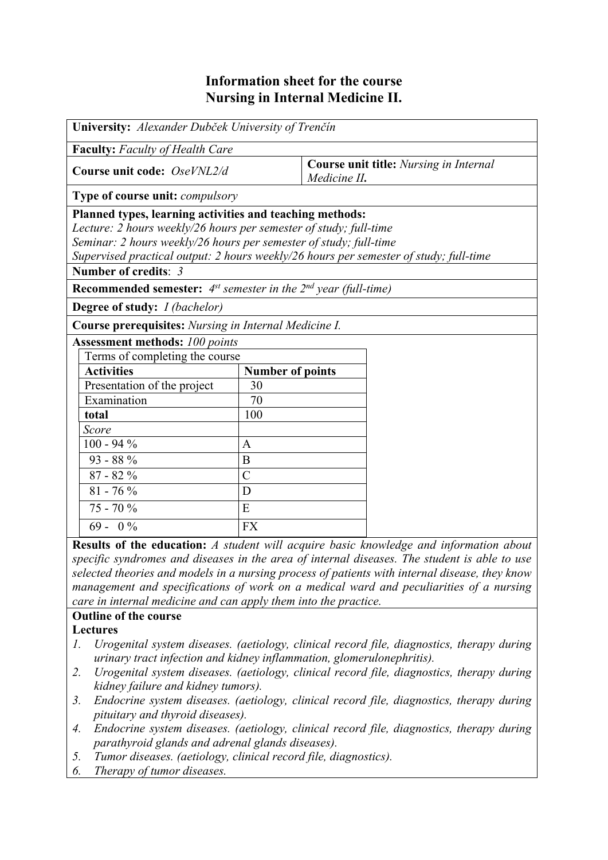## **Information sheet for the course Nursing in Internal Medicine II.**

| University: Alexander Dubček University of Trenčín                              |                         |                                                                                       |  |  |  |  |
|---------------------------------------------------------------------------------|-------------------------|---------------------------------------------------------------------------------------|--|--|--|--|
| <b>Faculty:</b> Faculty of Health Care                                          |                         |                                                                                       |  |  |  |  |
| Course unit code: OseVNL2/d                                                     |                         | <b>Course unit title:</b> Nursing in Internal<br>Medicine II.                         |  |  |  |  |
| <b>Type of course unit:</b> <i>compulsory</i>                                   |                         |                                                                                       |  |  |  |  |
| Planned types, learning activities and teaching methods:                        |                         |                                                                                       |  |  |  |  |
| Lecture: 2 hours weekly/26 hours per semester of study; full-time               |                         |                                                                                       |  |  |  |  |
| Seminar: 2 hours weekly/26 hours per semester of study; full-time               |                         |                                                                                       |  |  |  |  |
|                                                                                 |                         | Supervised practical output: 2 hours weekly/26 hours per semester of study; full-time |  |  |  |  |
| Number of credits: 3                                                            |                         |                                                                                       |  |  |  |  |
| <b>Recommended semester:</b> $4^{st}$ semester in the $2^{nd}$ year (full-time) |                         |                                                                                       |  |  |  |  |
| Degree of study: <i>I (bachelor)</i>                                            |                         |                                                                                       |  |  |  |  |
| Course prerequisites: Nursing in Internal Medicine I.                           |                         |                                                                                       |  |  |  |  |
| <b>Assessment methods: 100 points</b>                                           |                         |                                                                                       |  |  |  |  |
| Terms of completing the course                                                  |                         |                                                                                       |  |  |  |  |
| <b>Activities</b>                                                               | <b>Number of points</b> |                                                                                       |  |  |  |  |
| Presentation of the project                                                     | 30                      |                                                                                       |  |  |  |  |
| Examination                                                                     | 70                      |                                                                                       |  |  |  |  |
| total                                                                           | 100                     |                                                                                       |  |  |  |  |
| Score                                                                           |                         |                                                                                       |  |  |  |  |
| $100 - 94 %$                                                                    | $\mathbf{A}$            |                                                                                       |  |  |  |  |
| $93 - 88%$                                                                      | B                       |                                                                                       |  |  |  |  |
| $87 - 82%$                                                                      | $\mathcal{C}$           |                                                                                       |  |  |  |  |
| $81 - 76\%$                                                                     | D                       |                                                                                       |  |  |  |  |
| $75 - 70%$                                                                      | E                       |                                                                                       |  |  |  |  |
| $69 - 0\%$                                                                      | <b>FX</b>               |                                                                                       |  |  |  |  |

**Results of the education:** *A student will acquire basic knowledge and information about specific syndromes and diseases in the area of internal diseases. The student is able to use selected theories and models in a nursing process of patients with internal disease, they know management and specifications of work on a medical ward and peculiarities of a nursing care in internal medicine and can apply them into the practice.*

## **Outline of the course**

**Lectures**

- *1. Urogenital system diseases. (aetiology, clinical record file, diagnostics, therapy during urinary tract infection and kidney inflammation, glomerulonephritis).*
- *2. Urogenital system diseases. (aetiology, clinical record file, diagnostics, therapy during kidney failure and kidney tumors).*
- *3. Endocrine system diseases. (aetiology, clinical record file, diagnostics, therapy during pituitary and thyroid diseases).*
- *4. Endocrine system diseases. (aetiology, clinical record file, diagnostics, therapy during parathyroid glands and adrenal glands diseases).*
- *5. Tumor diseases. (aetiology, clinical record file, diagnostics).*
- *6. Therapy of tumor diseases.*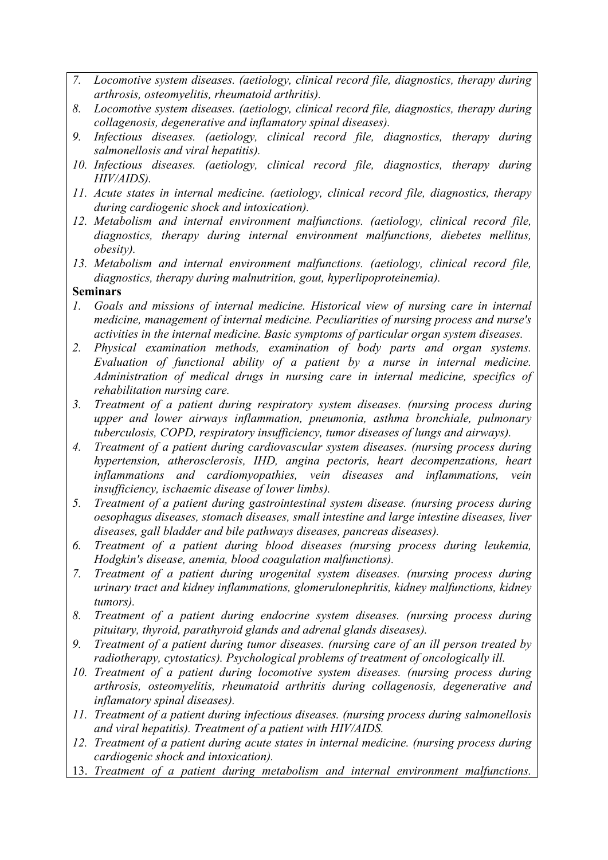- *7. Locomotive system diseases. (aetiology, clinical record file, diagnostics, therapy during arthrosis, osteomyelitis, rheumatoid arthritis).*
- *8. Locomotive system diseases. (aetiology, clinical record file, diagnostics, therapy during collagenosis, degenerative and inflamatory spinal diseases).*
- *9. Infectious diseases. (aetiology, clinical record file, diagnostics, therapy during salmonellosis and viral hepatitis).*
- *10. Infectious diseases. (aetiology, clinical record file, diagnostics, therapy during HIV/AIDS).*
- *11. Acute states in internal medicine. (aetiology, clinical record file, diagnostics, therapy during cardiogenic shock and intoxication).*
- *12. Metabolism and internal environment malfunctions. (aetiology, clinical record file, diagnostics, therapy during internal environment malfunctions, diebetes mellitus, obesity).*
- *13. Metabolism and internal environment malfunctions. (aetiology, clinical record file, diagnostics, therapy during malnutrition, gout, hyperlipoproteinemia).*

## **Seminars**

- *1. Goals and missions of internal medicine. Historical view of nursing care in internal medicine, management of internal medicine. Peculiarities of nursing process and nurse's activities in the internal medicine. Basic symptoms of particular organ system diseases.*
- *2. Physical examination methods, examination of body parts and organ systems. Evaluation of functional ability of a patient by a nurse in internal medicine. Administration of medical drugs in nursing care in internal medicine, specifics of rehabilitation nursing care.*
- *3. Treatment of a patient during respiratory system diseases. (nursing process during upper and lower airways inflammation, pneumonia, asthma bronchiale, pulmonary tuberculosis, COPD, respiratory insufficiency, tumor diseases of lungs and airways).*
- *4. Treatment of a patient during cardiovascular system diseases. (nursing process during hypertension, atherosclerosis, IHD, angina pectoris, heart decompenzations, heart inflammations and cardiomyopathies, vein diseases and inflammations, vein insufficiency, ischaemic disease of lower limbs).*
- *5. Treatment of a patient during gastrointestinal system disease. (nursing process during oesophagus diseases, stomach diseases, small intestine and large intestine diseases, liver diseases, gall bladder and bile pathways diseases, pancreas diseases).*
- *6. Treatment of a patient during blood diseases (nursing process during leukemia, Hodgkin's disease, anemia, blood coagulation malfunctions).*
- *7. Treatment of a patient during urogenital system diseases. (nursing process during urinary tract and kidney inflammations, glomerulonephritis, kidney malfunctions, kidney tumors).*
- *8. Treatment of a patient during endocrine system diseases. (nursing process during pituitary, thyroid, parathyroid glands and adrenal glands diseases).*
- *9. Treatment of a patient during tumor diseases. (nursing care of an ill person treated by radiotherapy, cytostatics). Psychological problems of treatment of oncologically ill.*
- *10. Treatment of a patient during locomotive system diseases. (nursing process during arthrosis, osteomyelitis, rheumatoid arthritis during collagenosis, degenerative and inflamatory spinal diseases).*
- *11. Treatment of a patient during infectious diseases. (nursing process during salmonellosis and viral hepatitis). Treatment of a patient with HIV/AIDS.*
- *12. Treatment of a patient during acute states in internal medicine. (nursing process during cardiogenic shock and intoxication).*
- 13. *Treatment of a patient during metabolism and internal environment malfunctions.*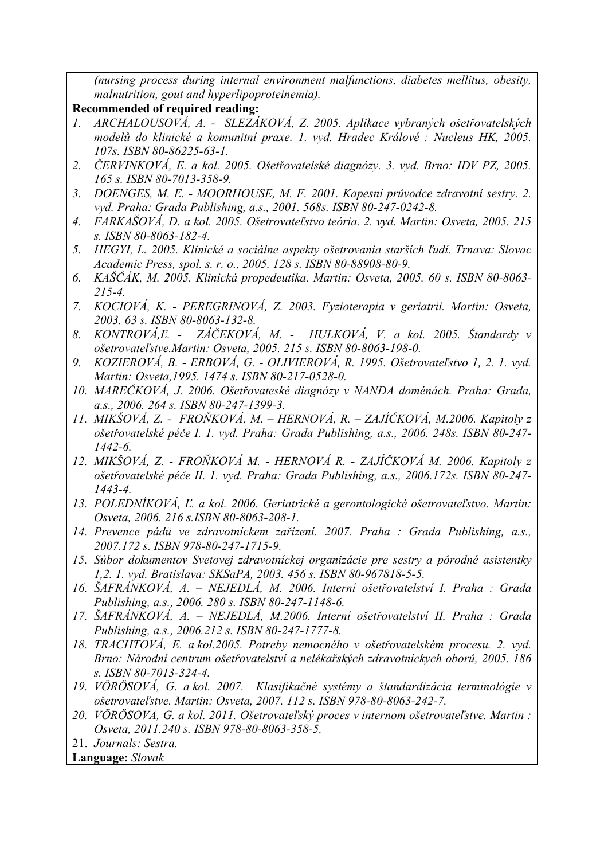*(nursing process during internal environment malfunctions, diabetes mellitus, obesity, malnutrition, gout and hyperlipoproteinemia).*

## **Recommended of required reading:**

- *1. ARCHALOUSOVÁ, A. SLEZÁKOVÁ, Z. 2005. Aplikace vybraných ošetřovatelských modelů do klinické a komunitní praxe. 1. vyd. Hradec Králové : Nucleus HK, 2005. 107s. ISBN 80-86225-63-1.*
- *2. ČERVINKOVÁ, E. a kol. 2005. Ošetřovatelské diagnózy. 3. vyd. Brno: IDV PZ, 2005. 165 s. ISBN 80-7013-358-9.*
- *3. DOENGES, M. E. MOORHOUSE, M. F. 2001. Kapesní průvodce zdravotní sestry. 2. vyd. Praha: Grada Publishing, a.s., 2001. 568s. ISBN 80-247-0242-8.*
- *4. FARKAŠOVÁ, D. a kol. 2005. Ošetrovateľstvo teória. 2. vyd. Martin: Osveta, 2005. 215 s. ISBN 80-8063-182-4.*
- *5. HEGYI, L. 2005. Klinické a sociálne aspekty ošetrovania starších ľudí. Trnava: Slovac Academic Press, spol. s. r. o., 2005. 128 s. ISBN 80-88908-80-9.*
- *6. KAŠČÁK, M. 2005. Klinická propedeutika. Martin: Osveta, 2005. 60 s. ISBN 80-8063- 215-4.*
- *7. KOCIOVÁ, K. PEREGRINOVÁ, Z. 2003. Fyzioterapia v geriatrii. Martin: Osveta, 2003. 63 s. ISBN 80-8063-132-8.*
- *8. KONTROVÁ,Ľ. ZÁČEKOVÁ, M. HULKOVÁ, V. a kol. 2005. Štandardy v ošetrovateľstve.Martin: Osveta, 2005. 215 s. ISBN 80-8063-198-0.*
- *9. KOZIEROVÁ, B. ERBOVÁ, G. OLIVIEROVÁ, R. 1995. Ošetrovateľstvo 1, 2. 1. vyd. Martin: Osveta,1995. 1474 s. ISBN 80-217-0528-0.*
- *10. MAREČKOVÁ, J. 2006. Ošetřovateské diagnózy v NANDA doménách. Praha: Grada, a.s., 2006. 264 s. ISBN 80-247-1399-3.*
- *11. MIKŠOVÁ, Z. FROŇKOVÁ, M. HERNOVÁ, R. ZAJÍČKOVÁ, M.2006. Kapitoly z ošetřovatelské péče I. 1. vyd. Praha: Grada Publishing, a.s., 2006. 248s. ISBN 80-247- 1442-6.*
- *12. MIKŠOVÁ, Z. FROŇKOVÁ M. HERNOVÁ R. ZAJÍČKOVÁ M. 2006. Kapitoly z ošetřovatelské péče II. 1. vyd. Praha: Grada Publishing, a.s., 2006.172s. ISBN 80-247- 1443-4.*
- *13. POLEDNÍKOVÁ, Ľ. a kol. 2006. Geriatrické a gerontologické ošetrovateľstvo. Martin: Osveta, 2006. 216 s.ISBN 80-8063-208-1.*
- *14. Prevence pádů ve zdravotníckem zařízení. 2007. Praha : Grada Publishing, a.s., 2007.172 s. ISBN 978-80-247-1715-9.*
- *15. Súbor dokumentov Svetovej zdravotníckej organizácie pre sestry a pôrodné asistentky 1,2. 1. vyd. Bratislava: SKSaPA, 2003. 456 s. ISBN 80-967818-5-5.*
- *16. ŠAFRÁNKOVÁ, A. NEJEDLÁ, M. 2006. Interní ošetřovatelství I. Praha : Grada Publishing, a.s., 2006. 280 s. ISBN 80-247-1148-6.*
- *17. ŠAFRÁNKOVÁ, A. NEJEDLÁ, M.2006. Interní ošetřovatelství II. Praha : Grada Publishing, a.s., 2006.212 s. ISBN 80-247-1777-8.*
- *18. TRACHTOVÁ, E. a kol.2005. Potreby nemocného v ošetřovatelském procesu. 2. vyd. Brno: Národní centrum ošetřovatelství a nelékařských zdravotníckych oborů, 2005. 186 s. ISBN 80-7013-324-4.*
- *19. VÖRÖSOVÁ, G. a kol. 2007. Klasifikačné systémy a štandardizácia terminológie v ošetrovateľstve. Martin: Osveta, 2007. 112 s. ISBN 978-80-8063-242-7.*
- *20. VÖRÖSOVA, G. a kol. 2011. Ošetrovateľský proces v internom ošetrovateľstve. Martin : Osveta, 2011.240 s. ISBN 978-80-8063-358-5.*

21. *Journals: Sestra.*

**Language:** *Slovak*